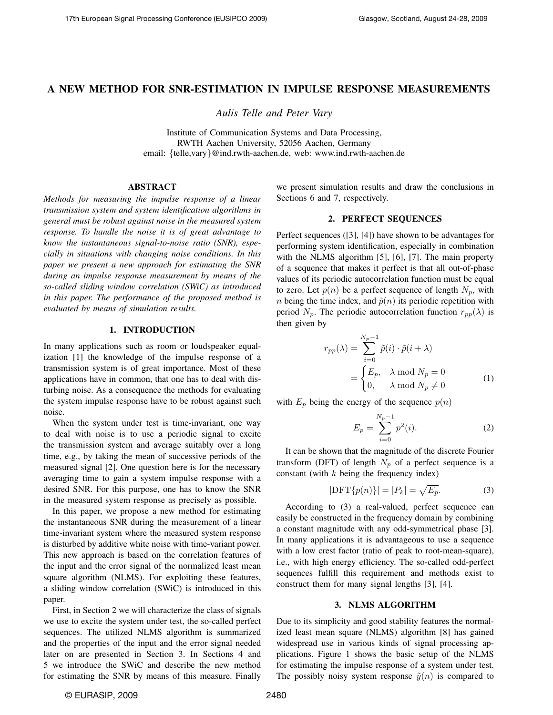# A NEW METHOD FOR SNR-ESTIMATION IN IMPULSE RESPONSE MEASUREMENTS

*Aulis Telle and Peter Vary*

Institute of Communication Systems and Data Processing, RWTH Aachen University, 52056 Aachen, Germany email: {telle,vary}@ind.rwth-aachen.de, web: www.ind.rwth-aachen.de

# ABSTRACT

*Methods for measuring the impulse response of a linear transmission system and system identification algorithms in general must be robust against noise in the measured system response. To handle the noise it is of great advantage to know the instantaneous signal-to-noise ratio (SNR), especially in situations with changing noise conditions. In this paper we present a new approach for estimating the SNR during an impulse response measurement by means of the so-called sliding window correlation (SWiC) as introduced in this paper. The performance of the proposed method is evaluated by means of simulation results.*

### 1. INTRODUCTION

In many applications such as room or loudspeaker equalization [1] the knowledge of the impulse response of a transmission system is of great importance. Most of these applications have in common, that one has to deal with disturbing noise. As a consequence the methods for evaluating the system impulse response have to be robust against such noise.

When the system under test is time-invariant, one way to deal with noise is to use a periodic signal to excite the transmission system and average suitably over a long time, e.g., by taking the mean of successive periods of the measured signal [2]. One question here is for the necessary averaging time to gain a system impulse response with a desired SNR. For this purpose, one has to know the SNR in the measured system response as precisely as possible.

In this paper, we propose a new method for estimating the instantaneous SNR during the measurement of a linear time-invariant system where the measured system response is disturbed by additive white noise with time-variant power. This new approach is based on the correlation features of the input and the error signal of the normalized least mean square algorithm (NLMS). For exploiting these features, a sliding window correlation (SWiC) is introduced in this paper.

First, in Section 2 we will characterize the class of signals we use to excite the system under test, the so-called perfect sequences. The utilized NLMS algorithm is summarized and the properties of the input and the error signal needed later on are presented in Section 3. In Sections 4 and 5 we introduce the SWiC and describe the new method for estimating the SNR by means of this measure. Finally we present simulation results and draw the conclusions in Sections 6 and 7, respectively.

### 2. PERFECT SEQUENCES

Perfect sequences ([3], [4]) have shown to be advantages for performing system identification, especially in combination with the NLMS algorithm [5], [6], [7]. The main property of a sequence that makes it perfect is that all out-of-phase values of its periodic autocorrelation function must be equal to zero. Let  $p(n)$  be a perfect sequence of length  $N_p$ , with *n* being the time index, and  $\tilde{p}(n)$  its periodic repetition with period  $N_p$ . The periodic autocorrelation function  $r_{pp}(\lambda)$  is then given by

$$
r_{pp}(\lambda) = \sum_{i=0}^{N_p - 1} \tilde{p}(i) \cdot \tilde{p}(i + \lambda)
$$
  
= 
$$
\begin{cases} E_p, & \lambda \text{ mod } N_p = 0\\ 0, & \lambda \text{ mod } N_p \neq 0 \end{cases}
$$
 (1)

with  $E_p$  being the energy of the sequence  $p(n)$ 

$$
E_p = \sum_{i=0}^{N_p - 1} p^2(i).
$$
 (2)

It can be shown that the magnitude of the discrete Fourier transform (DFT) of length  $N_p$  of a perfect sequence is a constant (with  $k$  being the frequency index)

$$
|\text{DFT}\{p(n)\}| = |P_k| = \sqrt{E_p}.
$$
 (3)

According to (3) a real-valued, perfect sequence can easily be constructed in the frequency domain by combining a constant magnitude with any odd-symmetrical phase [3]. In many applications it is advantageous to use a sequence with a low crest factor (ratio of peak to root-mean-square), i.e., with high energy efficiency. The so-called odd-perfect sequences fulfill this requirement and methods exist to construct them for many signal lengths [3], [4].

#### 3. NLMS ALGORITHM

Due to its simplicity and good stability features the normalized least mean square (NLMS) algorithm [8] has gained widespread use in various kinds of signal processing applications. Figure 1 shows the basic setup of the NLMS for estimating the impulse response of a system under test. The possibly noisy system response  $\tilde{y}(n)$  is compared to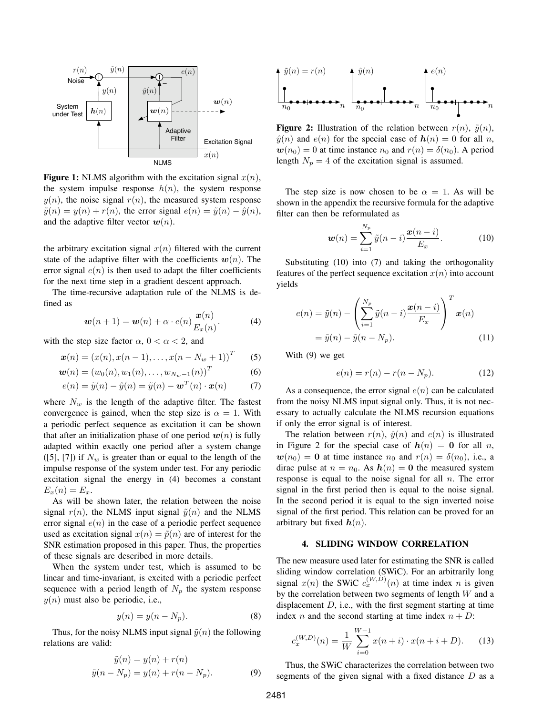

**Figure 1:** NLMS algorithm with the excitation signal  $x(n)$ , the system impulse response  $h(n)$ , the system response  $y(n)$ , the noise signal  $r(n)$ , the measured system response  $\tilde{y}(n) = y(n) + r(n)$ , the error signal  $e(n) = \tilde{y}(n) - \hat{y}(n)$ , and the adaptive filter vector  $w(n)$ .

the arbitrary excitation signal  $x(n)$  filtered with the current state of the adaptive filter with the coefficients  $w(n)$ . The error signal  $e(n)$  is then used to adapt the filter coefficients for the next time step in a gradient descent approach.

The time-recursive adaptation rule of the NLMS is defined as

$$
\boldsymbol{w}(n+1) = \boldsymbol{w}(n) + \alpha \cdot e(n) \frac{\boldsymbol{x}(n)}{E_x(n)}.
$$
 (4)

with the step size factor  $\alpha$ ,  $0 < \alpha < 2$ , and

$$
\boldsymbol{x}(n) = (x(n), x(n-1), \dots, x(n - N_w + 1))^T
$$
 (5)

$$
\mathbf{w}(n) = (w_0(n), w_1(n), \dots, w_{N_w-1}(n))^T
$$
 (6)

$$
e(n) = \tilde{y}(n) - \hat{y}(n) = \tilde{y}(n) - \boldsymbol{w}^{T}(n) \cdot \boldsymbol{x}(n) \tag{7}
$$

where  $N_w$  is the length of the adaptive filter. The fastest convergence is gained, when the step size is  $\alpha = 1$ . With a periodic perfect sequence as excitation it can be shown that after an initialization phase of one period  $w(n)$  is fully adapted within exactly one period after a system change ([5], [7]) if  $N_w$  is greater than or equal to the length of the impulse response of the system under test. For any periodic excitation signal the energy in (4) becomes a constant  $E_x(n) = E_x.$ 

As will be shown later, the relation between the noise signal  $r(n)$ , the NLMS input signal  $\tilde{y}(n)$  and the NLMS error signal  $e(n)$  in the case of a periodic perfect sequence used as excitation signal  $x(n) = \tilde{p}(n)$  are of interest for the SNR estimation proposed in this paper. Thus, the properties of these signals are described in more details.

When the system under test, which is assumed to be linear and time-invariant, is excited with a periodic perfect sequence with a period length of  $N_p$  the system response  $y(n)$  must also be periodic, i.e.,

$$
y(n) = y(n - N_p). \tag{8}
$$

Thus, for the noisy NLMS input signal  $\tilde{y}(n)$  the following relations are valid:

$$
\tilde{y}(n) = y(n) + r(n)
$$
  

$$
\tilde{y}(n - N_p) = y(n) + r(n - N_p).
$$
 (9)



**Figure 2:** Illustration of the relation between  $r(n)$ ,  $\tilde{y}(n)$ ,  $\hat{y}(n)$  and  $e(n)$  for the special case of  $h(n) = 0$  for all n,  $w(n_0) = 0$  at time instance  $n_0$  and  $r(n) = \delta(n_0)$ . A period length  $N_p = 4$  of the excitation signal is assumed.

The step size is now chosen to be  $\alpha = 1$ . As will be shown in the appendix the recursive formula for the adaptive filter can then be reformulated as

$$
\boldsymbol{w}(n) = \sum_{i=1}^{N_p} \tilde{y}(n-i) \frac{\boldsymbol{x}(n-i)}{E_x}.
$$
 (10)

Substituting (10) into (7) and taking the orthogonality features of the perfect sequence excitation  $x(n)$  into account yields

$$
e(n) = \tilde{y}(n) - \left(\sum_{i=1}^{N_p} \tilde{y}(n-i) \frac{\boldsymbol{x}(n-i)}{E_x}\right)^T \boldsymbol{x}(n)
$$

$$
= \tilde{y}(n) - \tilde{y}(n - N_p).
$$
(11)

With (9) we get

$$
e(n) = r(n) - r(n - N_p).
$$
 (12)

As a consequence, the error signal  $e(n)$  can be calculated from the noisy NLMS input signal only. Thus, it is not necessary to actually calculate the NLMS recursion equations if only the error signal is of interest.

The relation between  $r(n)$ ,  $\hat{y}(n)$  and  $e(n)$  is illustrated in Figure 2 for the special case of  $h(n) = 0$  for all n,  $w(n_0) = 0$  at time instance  $n_0$  and  $r(n) = \delta(n_0)$ , i.e., a dirac pulse at  $n = n_0$ . As  $h(n) = 0$  the measured system response is equal to the noise signal for all  $n$ . The error signal in the first period then is equal to the noise signal. In the second period it is equal to the sign inverted noise signal of the first period. This relation can be proved for an arbitrary but fixed  $h(n)$ .

## 4. SLIDING WINDOW CORRELATION

The new measure used later for estimating the SNR is called sliding window correlation (SWiC). For an arbitrarily long signal  $x(n)$  the SWiC  $c_x^{(W,D)}(n)$  at time index n is given by the correlation between two segments of length  $W$  and a displacement  $D$ , i.e., with the first segment starting at time index *n* and the second starting at time index  $n + D$ :

$$
c_x^{(W,D)}(n) = \frac{1}{W} \sum_{i=0}^{W-1} x(n+i) \cdot x(n+i+D). \tag{13}
$$

Thus, the SWiC characterizes the correlation between two segments of the given signal with a fixed distance  $D$  as a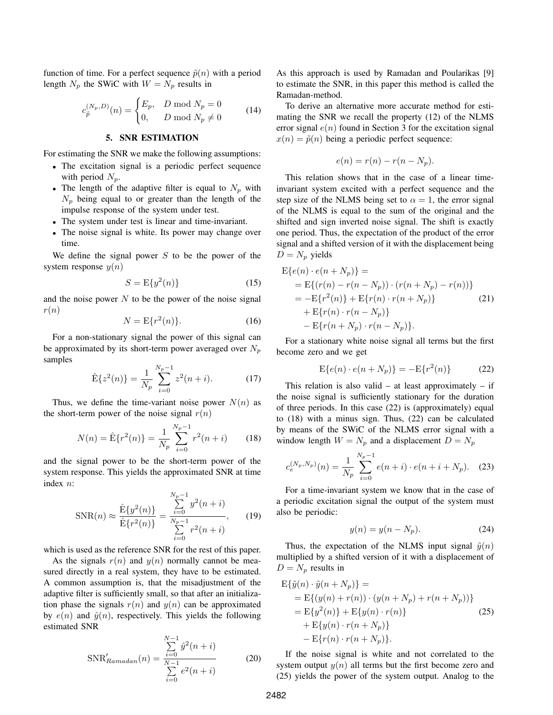function of time. For a perfect sequence  $\tilde{p}(n)$  with a period length  $N_p$  the SWiC with  $W = N_p$  results in

$$
c_{\tilde{p}}^{(N_p, D)}(n) = \begin{cases} E_p, & D \bmod N_p = 0\\ 0, & D \bmod N_p \neq 0 \end{cases}
$$
 (14)

# 5. SNR ESTIMATION

For estimating the SNR we make the following assumptions:

- The excitation signal is a periodic perfect sequence with period  $N_p$ .
- The length of the adaptive filter is equal to  $N_p$  with  $N_p$  being equal to or greater than the length of the impulse response of the system under test.
- The system under test is linear and time-invariant.
- The noise signal is white. Its power may change over time.

We define the signal power  $S$  to be the power of the system response  $y(n)$ 

$$
S = \mathcal{E}\{y^2(n)\}\tag{15}
$$

and the noise power  $N$  to be the power of the noise signal  $r(n)$ 

$$
N = \mathcal{E}\{r^2(n)\}.
$$
 (16)

For a non-stationary signal the power of this signal can be approximated by its short-term power averaged over  $N_p$ samples

$$
\hat{\mathbf{E}}\{z^2(n)\} = \frac{1}{N_p} \sum_{i=0}^{N_p - 1} z^2(n+i). \tag{17}
$$

Thus, we define the time-variant noise power  $N(n)$  as the short-term power of the noise signal  $r(n)$ 

$$
N(n) = \hat{\mathbf{E}}\{r^2(n)\} = \frac{1}{N_p} \sum_{i=0}^{N_p - 1} r^2(n+i)
$$
 (18)

and the signal power to be the short-term power of the system response. This yields the approximated SNR at time index n:

$$
SNR(n) \approx \frac{\hat{E}\{y^2(n)\}}{\hat{E}\{r^2(n)\}} = \frac{\sum_{i=0}^{N_p - 1} y^2(n+i)}{\sum_{i=0}^{N_p - 1} r^2(n+i)},
$$
(19)

which is used as the reference SNR for the rest of this paper.

As the signals  $r(n)$  and  $y(n)$  normally cannot be measured directly in a real system, they have to be estimated. A common assumption is, that the misadjustment of the adaptive filter is sufficiently small, so that after an initialization phase the signals  $r(n)$  and  $y(n)$  can be approximated by  $e(n)$  and  $\hat{y}(n)$ , respectively. This yields the following estimated SNR

$$
SNR'_{Ramadan}(n) = \frac{\sum_{i=0}^{N-1} \hat{y}^2(n+i)}{\sum_{i=0}^{N-1} e^2(n+i)}
$$
(20)

As this approach is used by Ramadan and Poularikas [9] to estimate the SNR, in this paper this method is called the Ramadan-method.

To derive an alternative more accurate method for estimating the SNR we recall the property (12) of the NLMS error signal  $e(n)$  found in Section 3 for the excitation signal  $x(n) = \tilde{p}(n)$  being a periodic perfect sequence:

$$
e(n) = r(n) - r(n - N_p).
$$

This relation shows that in the case of a linear timeinvariant system excited with a perfect sequence and the step size of the NLMS being set to  $\alpha = 1$ , the error signal of the NLMS is equal to the sum of the original and the shifted and sign inverted noise signal. The shift is exactly one period. Thus, the expectation of the product of the error signal and a shifted version of it with the displacement being  $D = N_p$  yields

$$
E\{e(n) \cdot e(n + N_p)\} =
$$
  
= 
$$
E\{(r(n) - r(n - N_p)) \cdot (r(n + N_p) - r(n))\}
$$
  
= 
$$
-E\{r^2(n)\} + E\{r(n) \cdot r(n + N_p)\}
$$
  
+ 
$$
E\{r(n) \cdot r(n - N_p)\}
$$
  
- 
$$
E\{r(n + N_p) \cdot r(n - N_p)\}.
$$
 (21)

For a stationary white noise signal all terms but the first become zero and we get

$$
E\{e(n) \cdot e(n + N_p)\} = -E\{r^2(n)\}\tag{22}
$$

This relation is also valid – at least approximately – if the noise signal is sufficiently stationary for the duration of three periods. In this case (22) is (approximately) equal to (18) with a minus sign. Thus, (22) can be calculated by means of the SWiC of the NLMS error signal with a window length  $W = N_p$  and a displacement  $D = N_p$ 

$$
c_e^{(N_p, N_p)}(n) = \frac{1}{N_p} \sum_{i=0}^{N_p - 1} e(n+i) \cdot e(n+i+N_p). \quad (23)
$$

For a time-invariant system we know that in the case of a periodic excitation signal the output of the system must also be periodic:

$$
y(n) = y(n - N_p). \tag{24}
$$

Thus, the expectation of the NLMS input signal  $\tilde{y}(n)$ multiplied by a shifted version of it with a displacement of  $D = N_p$  results in

$$
E{\tilde{y}(n) \cdot \tilde{y}(n + N_p)} =
$$
  
=  $E\{(y(n) + r(n)) \cdot (y(n + N_p) + r(n + N_p))\}$   
=  $E\{y^2(n)\} + E\{y(n) \cdot r(n)\}$   
+  $E\{y(n) \cdot r(n + N_p)\}$   
-  $E\{r(n) \cdot r(n + N_p)\}.$  (25)

If the noise signal is white and not correlated to the system output  $y(n)$  all terms but the first become zero and (25) yields the power of the system output. Analog to the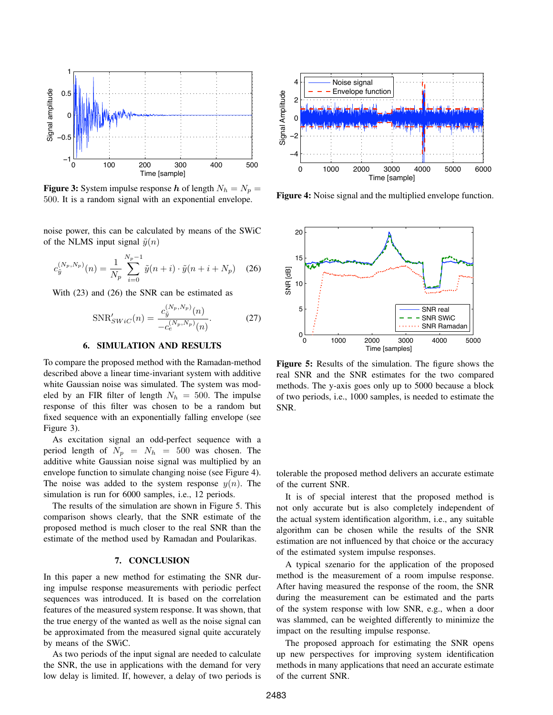

**Figure 3:** System impulse response h of length  $N_h = N_p$  = 500. It is a random signal with an exponential envelope.

noise power, this can be calculated by means of the SWiC of the NLMS input signal  $\tilde{y}(n)$ 

$$
c_{\tilde{y}}^{(N_p, N_p)}(n) = \frac{1}{N_p} \sum_{i=0}^{N_p - 1} \tilde{y}(n+i) \cdot \tilde{y}(n+i+N_p) \quad (26)
$$

With (23) and (26) the SNR can be estimated as

$$
SNR'_{SWiC}(n) = \frac{c_{\tilde{y}}^{(N_p, N_p)}(n)}{-c_e^{(N_p, N_p)}(n)}.
$$
 (27)

# 6. SIMULATION AND RESULTS

To compare the proposed method with the Ramadan-method described above a linear time-invariant system with additive white Gaussian noise was simulated. The system was modeled by an FIR filter of length  $N_h = 500$ . The impulse response of this filter was chosen to be a random but fixed sequence with an exponentially falling envelope (see Figure 3).

As excitation signal an odd-perfect sequence with a period length of  $N_p = N_h = 500$  was chosen. The additive white Gaussian noise signal was multiplied by an envelope function to simulate changing noise (see Figure 4). The noise was added to the system response  $y(n)$ . The simulation is run for 6000 samples, i.e., 12 periods.

The results of the simulation are shown in Figure 5. This comparison shows clearly, that the SNR estimate of the proposed method is much closer to the real SNR than the estimate of the method used by Ramadan and Poularikas.

# 7. CONCLUSION

In this paper a new method for estimating the SNR during impulse response measurements with periodic perfect sequences was introduced. It is based on the correlation features of the measured system response. It was shown, that the true energy of the wanted as well as the noise signal can be approximated from the measured signal quite accurately by means of the SWiC.

As two periods of the input signal are needed to calculate the SNR, the use in applications with the demand for very low delay is limited. If, however, a delay of two periods is



Figure 4: Noise signal and the multiplied envelope function.



Figure 5: Results of the simulation. The figure shows the real SNR and the SNR estimates for the two compared methods. The y-axis goes only up to 5000 because a block of two periods, i.e., 1000 samples, is needed to estimate the SNR.

tolerable the proposed method delivers an accurate estimate of the current SNR.

It is of special interest that the proposed method is not only accurate but is also completely independent of the actual system identification algorithm, i.e., any suitable algorithm can be chosen while the results of the SNR estimation are not influenced by that choice or the accuracy of the estimated system impulse responses.

A typical szenario for the application of the proposed method is the measurement of a room impulse response. After having measured the response of the room, the SNR during the measurement can be estimated and the parts of the system response with low SNR, e.g., when a door was slammed, can be weighted differently to minimize the impact on the resulting impulse response.

The proposed approach for estimating the SNR opens up new perspectives for improving system identification methods in many applications that need an accurate estimate of the current SNR.